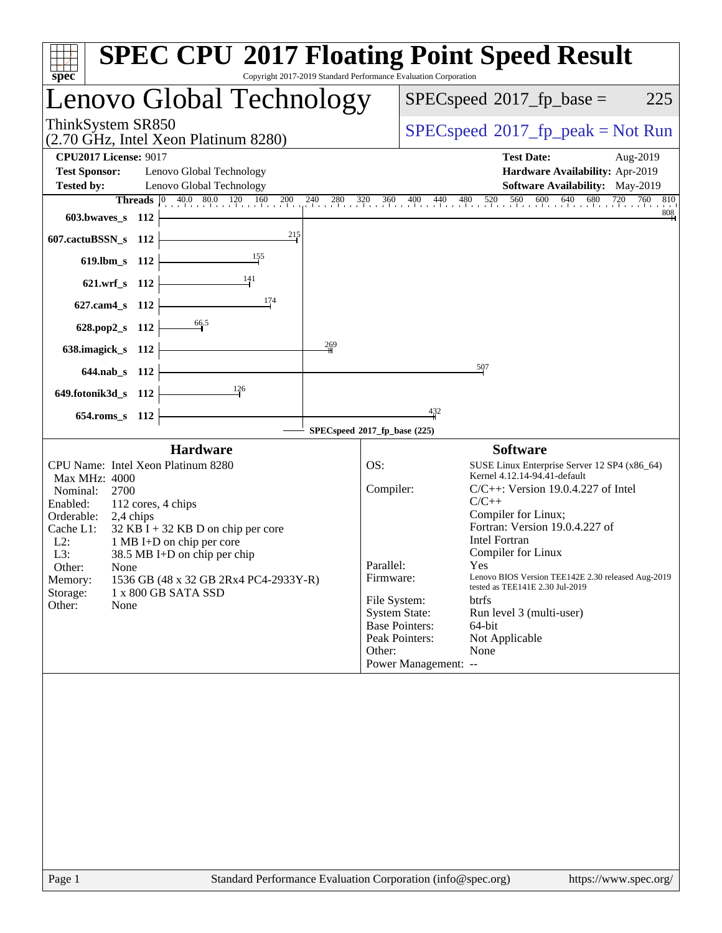| spec <sup>®</sup>                                                                                                                                                 |                                                                                                                                                                                                                                                  |     |                                                                      | <b>SPEC CPU®2017 Floating Point Speed Result</b><br>Copyright 2017-2019 Standard Performance Evaluation Corporation                                                                                                                                                                                                                                                                                                                                                                                                                                                                                                                                                                                                                                               |
|-------------------------------------------------------------------------------------------------------------------------------------------------------------------|--------------------------------------------------------------------------------------------------------------------------------------------------------------------------------------------------------------------------------------------------|-----|----------------------------------------------------------------------|-------------------------------------------------------------------------------------------------------------------------------------------------------------------------------------------------------------------------------------------------------------------------------------------------------------------------------------------------------------------------------------------------------------------------------------------------------------------------------------------------------------------------------------------------------------------------------------------------------------------------------------------------------------------------------------------------------------------------------------------------------------------|
|                                                                                                                                                                   | Lenovo Global Technology                                                                                                                                                                                                                         |     |                                                                      | $SPEC speed^{\circ}2017$ _fp_base =<br>225                                                                                                                                                                                                                                                                                                                                                                                                                                                                                                                                                                                                                                                                                                                        |
| ThinkSystem SR850                                                                                                                                                 | (2.70 GHz, Intel Xeon Platinum 8280)                                                                                                                                                                                                             |     | $SPEC speed^{\circ}2017\_fp\_peak = Not Run$                         |                                                                                                                                                                                                                                                                                                                                                                                                                                                                                                                                                                                                                                                                                                                                                                   |
| <b>CPU2017 License: 9017</b>                                                                                                                                      |                                                                                                                                                                                                                                                  |     |                                                                      | <b>Test Date:</b><br>Aug-2019                                                                                                                                                                                                                                                                                                                                                                                                                                                                                                                                                                                                                                                                                                                                     |
| <b>Test Sponsor:</b>                                                                                                                                              | Lenovo Global Technology                                                                                                                                                                                                                         |     |                                                                      | Hardware Availability: Apr-2019                                                                                                                                                                                                                                                                                                                                                                                                                                                                                                                                                                                                                                                                                                                                   |
| <b>Tested by:</b>                                                                                                                                                 | Lenovo Global Technology                                                                                                                                                                                                                         |     |                                                                      | <b>Software Availability:</b> May-2019                                                                                                                                                                                                                                                                                                                                                                                                                                                                                                                                                                                                                                                                                                                            |
|                                                                                                                                                                   | Threads $ 0\rangle$                                                                                                                                                                                                                              |     |                                                                      | 40.0 80.0 120 160 200 240 280 320 360 400 440 480 520 560 600 640 680 720 760<br>810                                                                                                                                                                                                                                                                                                                                                                                                                                                                                                                                                                                                                                                                              |
| 603.bwaves_s 112                                                                                                                                                  |                                                                                                                                                                                                                                                  |     |                                                                      | 808                                                                                                                                                                                                                                                                                                                                                                                                                                                                                                                                                                                                                                                                                                                                                               |
| 607.cactuBSSN_s 112                                                                                                                                               |                                                                                                                                                                                                                                                  | 215 |                                                                      |                                                                                                                                                                                                                                                                                                                                                                                                                                                                                                                                                                                                                                                                                                                                                                   |
| 619.lbm_s 112                                                                                                                                                     |                                                                                                                                                                                                                                                  |     |                                                                      |                                                                                                                                                                                                                                                                                                                                                                                                                                                                                                                                                                                                                                                                                                                                                                   |
| 621.wrf_s 112                                                                                                                                                     |                                                                                                                                                                                                                                                  |     |                                                                      |                                                                                                                                                                                                                                                                                                                                                                                                                                                                                                                                                                                                                                                                                                                                                                   |
| 627.cam4_s 112                                                                                                                                                    |                                                                                                                                                                                                                                                  | 174 |                                                                      |                                                                                                                                                                                                                                                                                                                                                                                                                                                                                                                                                                                                                                                                                                                                                                   |
| 628.pop2_s 112                                                                                                                                                    | 66.5                                                                                                                                                                                                                                             |     |                                                                      |                                                                                                                                                                                                                                                                                                                                                                                                                                                                                                                                                                                                                                                                                                                                                                   |
| 638.imagick_s 112                                                                                                                                                 |                                                                                                                                                                                                                                                  |     | 269                                                                  |                                                                                                                                                                                                                                                                                                                                                                                                                                                                                                                                                                                                                                                                                                                                                                   |
| 644.nab s 112                                                                                                                                                     |                                                                                                                                                                                                                                                  |     |                                                                      | 507                                                                                                                                                                                                                                                                                                                                                                                                                                                                                                                                                                                                                                                                                                                                                               |
| 649.fotonik3d_s 112                                                                                                                                               |                                                                                                                                                                                                                                                  | 126 |                                                                      |                                                                                                                                                                                                                                                                                                                                                                                                                                                                                                                                                                                                                                                                                                                                                                   |
| 654.roms_s 112                                                                                                                                                    |                                                                                                                                                                                                                                                  |     |                                                                      | 432                                                                                                                                                                                                                                                                                                                                                                                                                                                                                                                                                                                                                                                                                                                                                               |
|                                                                                                                                                                   |                                                                                                                                                                                                                                                  |     | SPECspeed®2017_fp_base (225)                                         |                                                                                                                                                                                                                                                                                                                                                                                                                                                                                                                                                                                                                                                                                                                                                                   |
| Max MHz: 4000<br>Nominal:<br>2700<br>Enabled:<br>Orderable:<br>2,4 chips<br>Cache L1:<br>$L2$ :<br>L3:<br>Other:<br>None<br>Memory:<br>Storage:<br>Other:<br>None | <b>Hardware</b><br>CPU Name: Intel Xeon Platinum 8280<br>112 cores, 4 chips<br>$32$ KB I + 32 KB D on chip per core<br>1 MB I+D on chip per core<br>38.5 MB I+D on chip per chip<br>1536 GB (48 x 32 GB 2Rx4 PC4-2933Y-R)<br>1 x 800 GB SATA SSD |     | OS:<br>Compiler:<br>Parallel:<br>Firmware:<br>File System:<br>Other: | <b>Software</b><br>SUSE Linux Enterprise Server 12 SP4 (x86_64)<br>Kernel 4.12.14-94.41-default<br>$C/C++$ : Version 19.0.4.227 of Intel<br>$C/C++$<br>Compiler for Linux;<br>Fortran: Version 19.0.4.227 of<br><b>Intel Fortran</b><br>Compiler for Linux<br><b>Yes</b> and the set of the set of the set of the set of the set of the set of the set of the set of the set of the set of the set of the set of the set of the set of the set of the set of the set of the set of the set of the<br>Lenovo BIOS Version TEE142E 2.30 released Aug-2019<br>tested as TEE141E 2.30 Jul-2019<br>btrfs<br><b>System State:</b><br>Run level 3 (multi-user)<br><b>Base Pointers:</b><br>$64$ -bit<br>Peak Pointers:<br>Not Applicable<br>None<br>Power Management: -- |
|                                                                                                                                                                   |                                                                                                                                                                                                                                                  |     |                                                                      |                                                                                                                                                                                                                                                                                                                                                                                                                                                                                                                                                                                                                                                                                                                                                                   |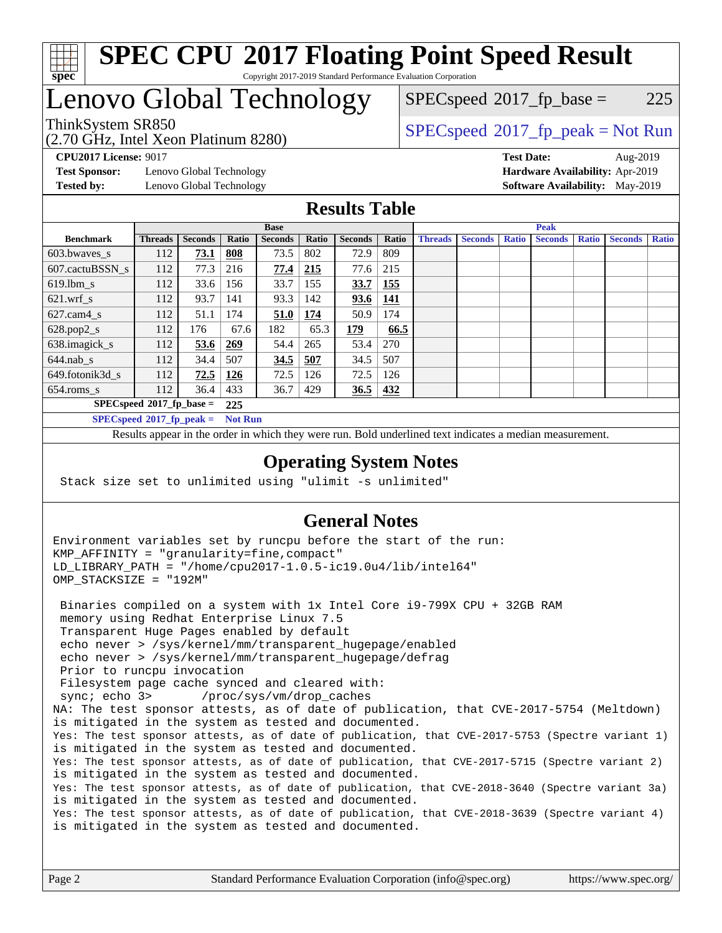

# Lenovo Global Technology

(2.70 GHz, Intel Xeon Platinum 8280)

ThinkSystem SR850<br>  $SPEC speed^{\circ}2017$ \_fp\_peak = Not Run  $SPEC speed^{\circ}2017\_fp\_base = 225$ 

**[Test Sponsor:](http://www.spec.org/auto/cpu2017/Docs/result-fields.html#TestSponsor)** Lenovo Global Technology **[Hardware Availability:](http://www.spec.org/auto/cpu2017/Docs/result-fields.html#HardwareAvailability)** Apr-2019 **[Tested by:](http://www.spec.org/auto/cpu2017/Docs/result-fields.html#Testedby)** Lenovo Global Technology **[Software Availability:](http://www.spec.org/auto/cpu2017/Docs/result-fields.html#SoftwareAvailability)** May-2019

**[CPU2017 License:](http://www.spec.org/auto/cpu2017/Docs/result-fields.html#CPU2017License)** 9017 **[Test Date:](http://www.spec.org/auto/cpu2017/Docs/result-fields.html#TestDate)** Aug-2019

### **[Results Table](http://www.spec.org/auto/cpu2017/Docs/result-fields.html#ResultsTable)**

|                  | <b>Base</b>                 |                |                |                |              | <b>Peak</b>      |       |                |                |              |                |              |                |              |
|------------------|-----------------------------|----------------|----------------|----------------|--------------|------------------|-------|----------------|----------------|--------------|----------------|--------------|----------------|--------------|
| <b>Benchmark</b> | <b>Threads</b>              | <b>Seconds</b> | Ratio          | <b>Seconds</b> | <b>Ratio</b> | <b>Seconds</b>   | Ratio | <b>Threads</b> | <b>Seconds</b> | <b>Ratio</b> | <b>Seconds</b> | <b>Ratio</b> | <b>Seconds</b> | <b>Ratio</b> |
| $603.bwaves$ s   | 112                         | 73.1           | 808            | 73.5           | 802          | 72.9             | 809   |                |                |              |                |              |                |              |
| 607.cactuBSSN s  | 112                         | 77.3           | 216            | 77.4           | 215          | 77.6             | 215   |                |                |              |                |              |                |              |
| $619.$ lbm_s     | 112                         | 33.6           | 156            | 33.7           | 155          | 33.7             | 155   |                |                |              |                |              |                |              |
| $621.wrf$ s      | 112                         | 93.7           | 141            | 93.3           | 142          | 93.6             | 141   |                |                |              |                |              |                |              |
| $627$ .cam4 s    | 112                         | 51.1           | 174            | <b>51.0</b>    | 174          | 50.9             | 174   |                |                |              |                |              |                |              |
| $628.pop2_s$     | 112                         | 176            | 67.6           | 182            | 65.3         | 179              | 66.5  |                |                |              |                |              |                |              |
| 638.imagick_s    | 112                         | 53.6           | 269            | 54.4           | 265          | 53.4             | 270   |                |                |              |                |              |                |              |
| $644$ .nab s     | 112                         | 34.4           | 507            | 34.5           | 507          | 34.5             | 507   |                |                |              |                |              |                |              |
| 649.fotonik3d s  | 112                         | 72.5           | <b>126</b>     | 72.5           | 126          | 72.5             | 126   |                |                |              |                |              |                |              |
| $654$ .roms s    | 112                         | 36.4           | 433            | 36.7           | 429          | $36.5 \, \, 432$ |       |                |                |              |                |              |                |              |
|                  | $SPECspeed*2017_fp\_base =$ |                | 225            |                |              |                  |       |                |                |              |                |              |                |              |
|                  | $SPECspeed*2017_fp\_peak =$ |                | <b>Not Run</b> |                |              |                  |       |                |                |              |                |              |                |              |

Results appear in the [order in which they were run.](http://www.spec.org/auto/cpu2017/Docs/result-fields.html#RunOrder) Bold underlined text [indicates a median measurement](http://www.spec.org/auto/cpu2017/Docs/result-fields.html#Median).

#### **[Operating System Notes](http://www.spec.org/auto/cpu2017/Docs/result-fields.html#OperatingSystemNotes)**

Stack size set to unlimited using "ulimit -s unlimited"

### **[General Notes](http://www.spec.org/auto/cpu2017/Docs/result-fields.html#GeneralNotes)**

Environment variables set by runcpu before the start of the run: KMP\_AFFINITY = "granularity=fine,compact" LD\_LIBRARY\_PATH = "/home/cpu2017-1.0.5-ic19.0u4/lib/intel64" OMP\_STACKSIZE = "192M" Binaries compiled on a system with 1x Intel Core i9-799X CPU + 32GB RAM memory using Redhat Enterprise Linux 7.5 Transparent Huge Pages enabled by default echo never > /sys/kernel/mm/transparent\_hugepage/enabled echo never > /sys/kernel/mm/transparent\_hugepage/defrag Prior to runcpu invocation Filesystem page cache synced and cleared with: sync; echo 3> /proc/sys/vm/drop\_caches NA: The test sponsor attests, as of date of publication, that CVE-2017-5754 (Meltdown) is mitigated in the system as tested and documented. Yes: The test sponsor attests, as of date of publication, that CVE-2017-5753 (Spectre variant 1) is mitigated in the system as tested and documented. Yes: The test sponsor attests, as of date of publication, that CVE-2017-5715 (Spectre variant 2) is mitigated in the system as tested and documented. Yes: The test sponsor attests, as of date of publication, that CVE-2018-3640 (Spectre variant 3a) is mitigated in the system as tested and documented. Yes: The test sponsor attests, as of date of publication, that CVE-2018-3639 (Spectre variant 4) is mitigated in the system as tested and documented.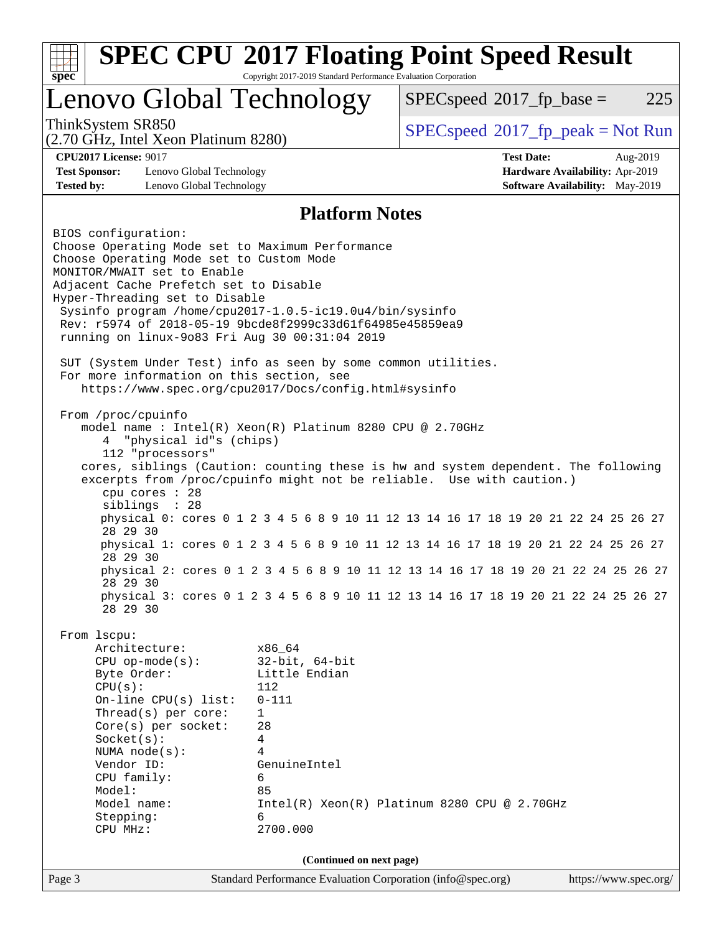| <b>SPEC CPU®2017 Floating Point Speed Result</b><br>Copyright 2017-2019 Standard Performance Evaluation Corporation<br>spec <sup>®</sup>                                                                                                                                                                                                                                                                                                                                                                                                                                          |                                                                                                                                                 |                                                                                                                                                                                                                                                                                                                                                          |                                        |  |  |  |
|-----------------------------------------------------------------------------------------------------------------------------------------------------------------------------------------------------------------------------------------------------------------------------------------------------------------------------------------------------------------------------------------------------------------------------------------------------------------------------------------------------------------------------------------------------------------------------------|-------------------------------------------------------------------------------------------------------------------------------------------------|----------------------------------------------------------------------------------------------------------------------------------------------------------------------------------------------------------------------------------------------------------------------------------------------------------------------------------------------------------|----------------------------------------|--|--|--|
| Lenovo Global Technology                                                                                                                                                                                                                                                                                                                                                                                                                                                                                                                                                          |                                                                                                                                                 | $SPEC speed^{\circ}2017$ _fp_base =                                                                                                                                                                                                                                                                                                                      | 225                                    |  |  |  |
| ThinkSystem SR850<br>(2.70 GHz, Intel Xeon Platinum 8280)                                                                                                                                                                                                                                                                                                                                                                                                                                                                                                                         |                                                                                                                                                 | $SPEC speed^{\circ}2017\_fp\_peak = Not Run$                                                                                                                                                                                                                                                                                                             |                                        |  |  |  |
| <b>CPU2017 License: 9017</b>                                                                                                                                                                                                                                                                                                                                                                                                                                                                                                                                                      |                                                                                                                                                 | <b>Test Date:</b>                                                                                                                                                                                                                                                                                                                                        | Aug-2019                               |  |  |  |
| <b>Test Sponsor:</b><br>Lenovo Global Technology                                                                                                                                                                                                                                                                                                                                                                                                                                                                                                                                  |                                                                                                                                                 |                                                                                                                                                                                                                                                                                                                                                          | Hardware Availability: Apr-2019        |  |  |  |
| <b>Tested by:</b><br>Lenovo Global Technology                                                                                                                                                                                                                                                                                                                                                                                                                                                                                                                                     |                                                                                                                                                 |                                                                                                                                                                                                                                                                                                                                                          | <b>Software Availability:</b> May-2019 |  |  |  |
|                                                                                                                                                                                                                                                                                                                                                                                                                                                                                                                                                                                   | <b>Platform Notes</b>                                                                                                                           |                                                                                                                                                                                                                                                                                                                                                          |                                        |  |  |  |
| BIOS configuration:<br>Choose Operating Mode set to Maximum Performance<br>Choose Operating Mode set to Custom Mode<br>MONITOR/MWAIT set to Enable<br>Adjacent Cache Prefetch set to Disable<br>Hyper-Threading set to Disable<br>Sysinfo program /home/cpu2017-1.0.5-ic19.0u4/bin/sysinfo<br>Rev: r5974 of 2018-05-19 9bcde8f2999c33d61f64985e45859ea9<br>running on linux-9083 Fri Aug 30 00:31:04 2019<br>SUT (System Under Test) info as seen by some common utilities.<br>For more information on this section, see<br>https://www.spec.org/cpu2017/Docs/config.html#sysinfo |                                                                                                                                                 |                                                                                                                                                                                                                                                                                                                                                          |                                        |  |  |  |
| From /proc/cpuinfo<br>model name: $Intel(R)$ Xeon $(R)$ Platinum 8280 CPU @ 2.70GHz<br>"physical id"s (chips)<br>4<br>112 "processors"<br>cores, siblings (Caution: counting these is hw and system dependent. The following<br>excerpts from /proc/cpuinfo might not be reliable. Use with caution.)<br>cpu cores : 28<br>siblings : 28<br>28 29 30<br>28 29 30<br>28 29 30<br>28 29 30                                                                                                                                                                                          |                                                                                                                                                 | physical 0: cores 0 1 2 3 4 5 6 8 9 10 11 12 13 14 16 17 18 19 20 21 22 24 25 26 27<br>physical 1: cores 0 1 2 3 4 5 6 8 9 10 11 12 13 14 16 17 18 19 20 21 22 24 25 26 27<br>physical 2: cores 0 1 2 3 4 5 6 8 9 10 11 12 13 14 16 17 18 19 20 21 22 24 25 26 27<br>physical 3: cores 0 1 2 3 4 5 6 8 9 10 11 12 13 14 16 17 18 19 20 21 22 24 25 26 27 |                                        |  |  |  |
| From 1scpu:<br>Architecture:<br>$CPU$ op-mode( $s$ ):<br>Byte Order:<br>CPU(s):<br>On-line $CPU(s)$ list:<br>Thread(s) per core:<br>Core(s) per socket:<br>Socket(s):<br>NUMA $node(s):$<br>Vendor ID:<br>CPU family:<br>Model:<br>Model name:<br>Stepping:<br>CPU MHz:                                                                                                                                                                                                                                                                                                           | x86_64<br>$32$ -bit, $64$ -bit<br>Little Endian<br>112<br>$0 - 111$<br>$\mathbf{1}$<br>28<br>4<br>4<br>GenuineIntel<br>6<br>85<br>6<br>2700.000 | Intel(R) Xeon(R) Platinum 8280 CPU @ 2.70GHz                                                                                                                                                                                                                                                                                                             |                                        |  |  |  |
|                                                                                                                                                                                                                                                                                                                                                                                                                                                                                                                                                                                   | (Continued on next page)                                                                                                                        |                                                                                                                                                                                                                                                                                                                                                          |                                        |  |  |  |
| Page 3                                                                                                                                                                                                                                                                                                                                                                                                                                                                                                                                                                            | Standard Performance Evaluation Corporation (info@spec.org)                                                                                     |                                                                                                                                                                                                                                                                                                                                                          | https://www.spec.org/                  |  |  |  |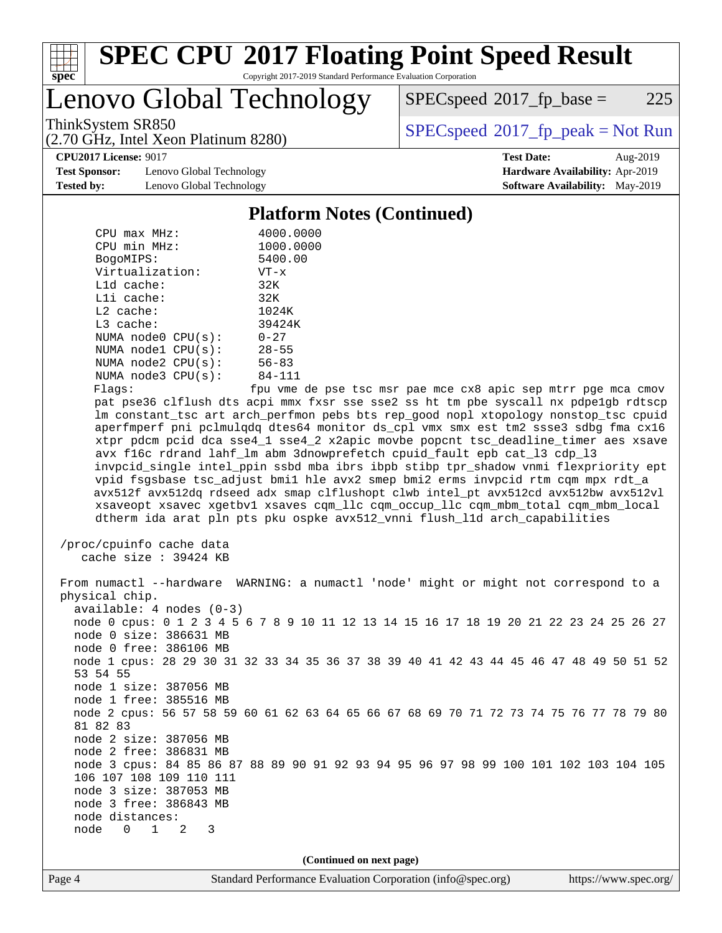

# **[SPEC CPU](http://www.spec.org/auto/cpu2017/Docs/result-fields.html#SPECCPU2017FloatingPointSpeedResult)[2017 Floating Point Speed Result](http://www.spec.org/auto/cpu2017/Docs/result-fields.html#SPECCPU2017FloatingPointSpeedResult)**

Copyright 2017-2019 Standard Performance Evaluation Corporation

Lenovo Global Technology

 $SPEC speed^{\circ}2017\_fp\_base = 225$ 

(2.70 GHz, Intel Xeon Platinum 8280)

ThinkSystem SR850<br>  $SPEC speed^{\circ}2017$ \_fp\_peak = Not Run

**[CPU2017 License:](http://www.spec.org/auto/cpu2017/Docs/result-fields.html#CPU2017License)** 9017 **[Test Date:](http://www.spec.org/auto/cpu2017/Docs/result-fields.html#TestDate)** Aug-2019

**[Test Sponsor:](http://www.spec.org/auto/cpu2017/Docs/result-fields.html#TestSponsor)** Lenovo Global Technology **[Hardware Availability:](http://www.spec.org/auto/cpu2017/Docs/result-fields.html#HardwareAvailability)** Apr-2019 **[Tested by:](http://www.spec.org/auto/cpu2017/Docs/result-fields.html#Testedby)** Lenovo Global Technology **[Software Availability:](http://www.spec.org/auto/cpu2017/Docs/result-fields.html#SoftwareAvailability)** May-2019

**[Platform Notes \(Continued\)](http://www.spec.org/auto/cpu2017/Docs/result-fields.html#PlatformNotes)**

| $CPU$ max $MHz$ :       | 4000.0000  |
|-------------------------|------------|
| CPU min MHz:            | 1000.0000  |
| BogoMIPS:               | 5400.00    |
| Virtualization:         | $VT - x$   |
| $L1d$ cache:            | 32K        |
| Lli cache:              | 32K        |
| $L2$ cache:             | 1024K      |
| $L3$ cache:             | 39424K     |
| NUMA $node0$ $CPU(s)$ : | $0 - 27$   |
| NUMA $node1$ $CPU(s)$ : | $28 - 55$  |
| NUMA $node2$ $CPU(s)$ : | $56 - 83$  |
| NUMA node3 CPU(s):      | 84-111     |
| ∙ ہ∧د ا⊤                | fnu wma da |

Flags: fpu vme de pse tsc msr pae mce cx8 apic sep mtrr pge mca cmov pat pse36 clflush dts acpi mmx fxsr sse sse2 ss ht tm pbe syscall nx pdpe1gb rdtscp lm constant\_tsc art arch\_perfmon pebs bts rep\_good nopl xtopology nonstop\_tsc cpuid aperfmperf pni pclmulqdq dtes64 monitor ds\_cpl vmx smx est tm2 ssse3 sdbg fma cx16 xtpr pdcm pcid dca sse4\_1 sse4\_2 x2apic movbe popcnt tsc\_deadline\_timer aes xsave avx f16c rdrand lahf\_lm abm 3dnowprefetch cpuid\_fault epb cat\_l3 cdp\_l3 invpcid\_single intel\_ppin ssbd mba ibrs ibpb stibp tpr\_shadow vnmi flexpriority ept vpid fsgsbase tsc\_adjust bmi1 hle avx2 smep bmi2 erms invpcid rtm cqm mpx rdt\_a avx512f avx512dq rdseed adx smap clflushopt clwb intel\_pt avx512cd avx512bw avx512vl xsaveopt xsavec xgetbv1 xsaves cqm\_llc cqm\_occup\_llc cqm\_mbm\_total cqm\_mbm\_local dtherm ida arat pln pts pku ospke avx512\_vnni flush\_l1d arch\_capabilities

```
 /proc/cpuinfo cache data
   cache size : 39424 KB
```
 From numactl --hardware WARNING: a numactl 'node' might or might not correspond to a physical chip. available: 4 nodes (0-3) node 0 cpus: 0 1 2 3 4 5 6 7 8 9 10 11 12 13 14 15 16 17 18 19 20 21 22 23 24 25 26 27 node 0 size: 386631 MB node 0 free: 386106 MB node 1 cpus: 28 29 30 31 32 33 34 35 36 37 38 39 40 41 42 43 44 45 46 47 48 49 50 51 52 53 54 55 node 1 size: 387056 MB node 1 free: 385516 MB node 2 cpus: 56 57 58 59 60 61 62 63 64 65 66 67 68 69 70 71 72 73 74 75 76 77 78 79 80 81 82 83 node 2 size: 387056 MB node 2 free: 386831 MB node 3 cpus: 84 85 86 87 88 89 90 91 92 93 94 95 96 97 98 99 100 101 102 103 104 105 106 107 108 109 110 111 node 3 size: 387053 MB node 3 free: 386843 MB node distances: node 0 1 2 3

**(Continued on next page)**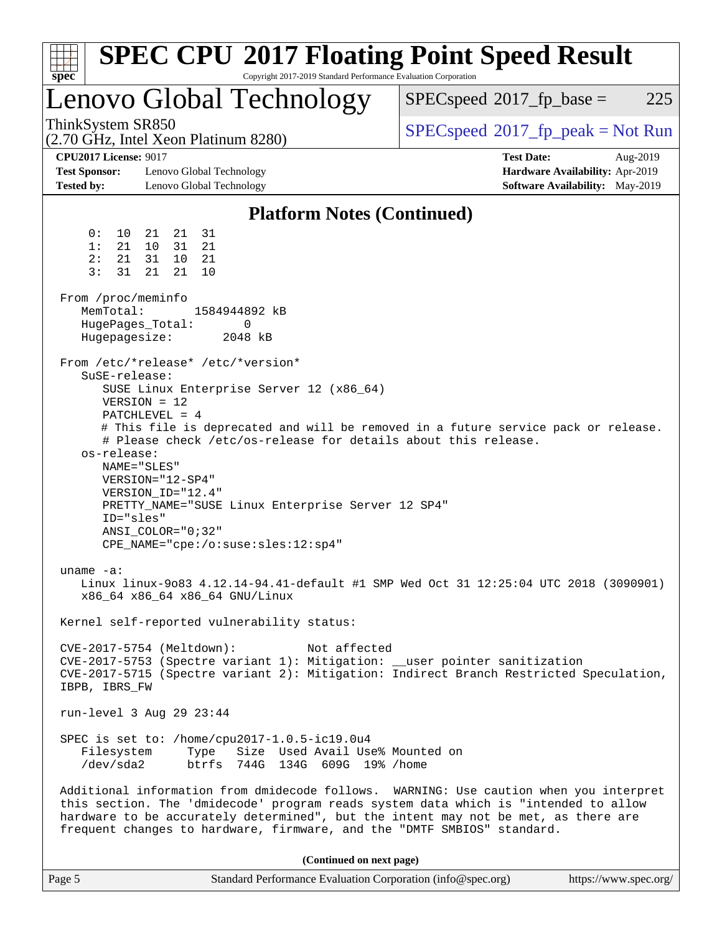| $spec^*$                                                                                                                                                                                                                                                                         | <b>SPEC CPU®2017 Floating Point Speed Result</b><br>Copyright 2017-2019 Standard Performance Evaluation Corporation                                                                                                                                                                                                                            |                                                                                                     |  |  |  |  |
|----------------------------------------------------------------------------------------------------------------------------------------------------------------------------------------------------------------------------------------------------------------------------------|------------------------------------------------------------------------------------------------------------------------------------------------------------------------------------------------------------------------------------------------------------------------------------------------------------------------------------------------|-----------------------------------------------------------------------------------------------------|--|--|--|--|
|                                                                                                                                                                                                                                                                                  | Lenovo Global Technology                                                                                                                                                                                                                                                                                                                       | 225<br>$SPEC speed^{\circ}2017$ fp base =                                                           |  |  |  |  |
| ThinkSystem SR850                                                                                                                                                                                                                                                                | (2.70 GHz, Intel Xeon Platinum 8280)                                                                                                                                                                                                                                                                                                           | $SPEC speed^{\circ}2017\_fp\_peak = Not Run$                                                        |  |  |  |  |
| <b>CPU2017 License: 9017</b><br><b>Test Sponsor:</b><br><b>Tested by:</b>                                                                                                                                                                                                        | Lenovo Global Technology<br>Lenovo Global Technology                                                                                                                                                                                                                                                                                           | <b>Test Date:</b><br>Aug-2019<br>Hardware Availability: Apr-2019<br>Software Availability: May-2019 |  |  |  |  |
|                                                                                                                                                                                                                                                                                  | <b>Platform Notes (Continued)</b>                                                                                                                                                                                                                                                                                                              |                                                                                                     |  |  |  |  |
| 0 :<br>10<br>21<br>1:<br>2:<br>21<br>3:<br>31                                                                                                                                                                                                                                    | 21<br>21<br>31<br>10 <sup>°</sup><br>31<br>21<br>31<br>10<br>-21<br>21<br>21<br>10                                                                                                                                                                                                                                                             |                                                                                                     |  |  |  |  |
| From /proc/meminfo<br>MemTotal:<br>HugePages_Total:<br>Hugepagesize:                                                                                                                                                                                                             | 1584944892 kB<br>$\Omega$<br>2048 kB                                                                                                                                                                                                                                                                                                           |                                                                                                     |  |  |  |  |
| $S$ uSE-release:<br>$VERSION = 12$<br>os-release:<br>NAME="SLES"<br>ID="sles"                                                                                                                                                                                                    | From /etc/*release* /etc/*version*<br>SUSE Linux Enterprise Server 12 (x86_64)<br>$PATCHLEVEL = 4$<br># Please check /etc/os-release for details about this release.<br>VERSION="12-SP4"<br>VERSION ID="12.4"<br>PRETTY_NAME="SUSE Linux Enterprise Server 12 SP4"<br>$ANSI$ _COLOR=" $0:32$ "<br>CPE_NAME="cpe:/o:suse:sles:12:sp4"           | # This file is deprecated and will be removed in a future service pack or release.                  |  |  |  |  |
| uname $-a$ :                                                                                                                                                                                                                                                                     | x86_64 x86_64 x86_64 GNU/Linux                                                                                                                                                                                                                                                                                                                 | Linux linux-9083 4.12.14-94.41-default #1 SMP Wed Oct 31 12:25:04 UTC 2018 (3090901)                |  |  |  |  |
| Kernel self-reported vulnerability status:<br>CVE-2017-5754 (Meltdown):<br>Not affected<br>CVE-2017-5753 (Spectre variant 1): Mitigation: __user pointer sanitization<br>CVE-2017-5715 (Spectre variant 2): Mitigation: Indirect Branch Restricted Speculation,<br>IBPB, IBRS_FW |                                                                                                                                                                                                                                                                                                                                                |                                                                                                     |  |  |  |  |
| run-level 3 Aug 29 23:44                                                                                                                                                                                                                                                         |                                                                                                                                                                                                                                                                                                                                                |                                                                                                     |  |  |  |  |
| Filesystem<br>/dev/sda2                                                                                                                                                                                                                                                          | SPEC is set to: /home/cpu2017-1.0.5-ic19.0u4<br>Type Size Used Avail Use% Mounted on<br>btrfs 744G 134G 609G 19% / home                                                                                                                                                                                                                        |                                                                                                     |  |  |  |  |
|                                                                                                                                                                                                                                                                                  | Additional information from dmidecode follows. WARNING: Use caution when you interpret<br>this section. The 'dmidecode' program reads system data which is "intended to allow<br>hardware to be accurately determined", but the intent may not be met, as there are<br>frequent changes to hardware, firmware, and the "DMTF SMBIOS" standard. |                                                                                                     |  |  |  |  |
|                                                                                                                                                                                                                                                                                  | (Continued on next page)                                                                                                                                                                                                                                                                                                                       |                                                                                                     |  |  |  |  |

| Page 5 | Standard Performance Evaluation Corporation (info@spec.org) | https://www.spec.org/ |
|--------|-------------------------------------------------------------|-----------------------|
|--------|-------------------------------------------------------------|-----------------------|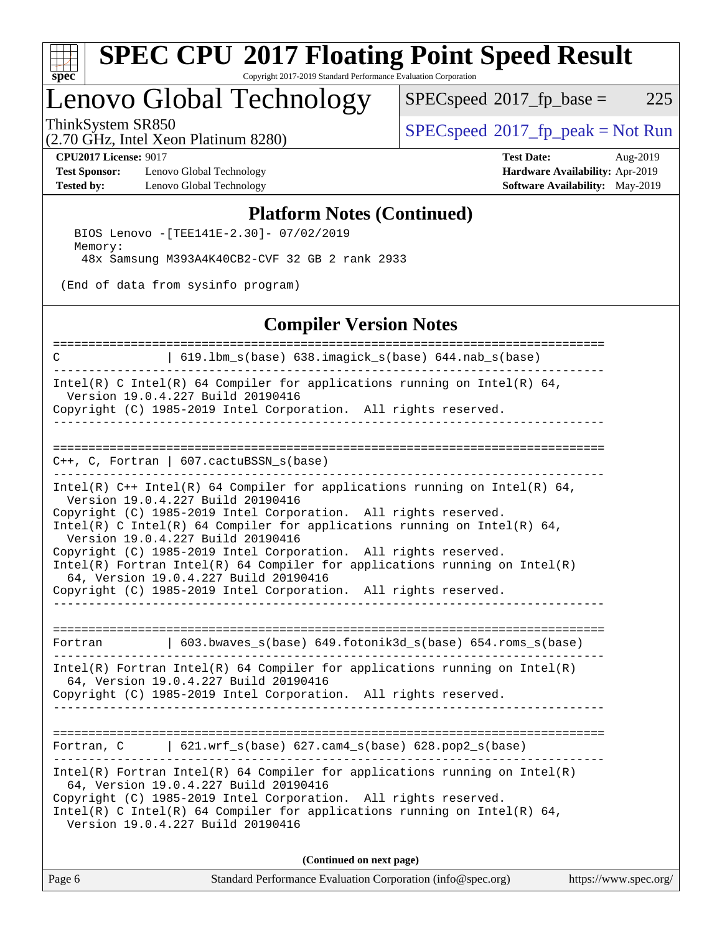

# Lenovo Global Technology

 $SPECspeed^{\circ}2017_fp\_base = 225$  $SPECspeed^{\circ}2017_fp\_base = 225$ 

(2.70 GHz, Intel Xeon Platinum 8280)

ThinkSystem SR850<br>  $(2.70 \text{ GHz}_{\text{total}} \text{ York})$  [SPECspeed](http://www.spec.org/auto/cpu2017/Docs/result-fields.html#SPECspeed2017fppeak)®[2017\\_fp\\_peak = N](http://www.spec.org/auto/cpu2017/Docs/result-fields.html#SPECspeed2017fppeak)ot Run

**[Test Sponsor:](http://www.spec.org/auto/cpu2017/Docs/result-fields.html#TestSponsor)** Lenovo Global Technology **[Hardware Availability:](http://www.spec.org/auto/cpu2017/Docs/result-fields.html#HardwareAvailability)** Apr-2019 **[Tested by:](http://www.spec.org/auto/cpu2017/Docs/result-fields.html#Testedby)** Lenovo Global Technology **[Software Availability:](http://www.spec.org/auto/cpu2017/Docs/result-fields.html#SoftwareAvailability)** May-2019

**[CPU2017 License:](http://www.spec.org/auto/cpu2017/Docs/result-fields.html#CPU2017License)** 9017 **[Test Date:](http://www.spec.org/auto/cpu2017/Docs/result-fields.html#TestDate)** Aug-2019

#### **[Platform Notes \(Continued\)](http://www.spec.org/auto/cpu2017/Docs/result-fields.html#PlatformNotes)**

 BIOS Lenovo -[TEE141E-2.30]- 07/02/2019 Memory: 48x Samsung M393A4K40CB2-CVF 32 GB 2 rank 2933

(End of data from sysinfo program)

#### **[Compiler Version Notes](http://www.spec.org/auto/cpu2017/Docs/result-fields.html#CompilerVersionNotes)**

| C                      | 619.1bm_s(base) 638.imagick_s(base) 644.nab_s(base)                                                                                                                                                                                                                                                                                                                                                                                                                                                                                                                  |                       |
|------------------------|----------------------------------------------------------------------------------------------------------------------------------------------------------------------------------------------------------------------------------------------------------------------------------------------------------------------------------------------------------------------------------------------------------------------------------------------------------------------------------------------------------------------------------------------------------------------|-----------------------|
|                        | Intel(R) C Intel(R) 64 Compiler for applications running on Intel(R) 64,<br>Version 19.0.4.227 Build 20190416<br>Copyright (C) 1985-2019 Intel Corporation. All rights reserved.<br>--------------------------------                                                                                                                                                                                                                                                                                                                                                 |                       |
| ---------------------- | $C++$ , C, Fortran   607.cactuBSSN_s(base)                                                                                                                                                                                                                                                                                                                                                                                                                                                                                                                           |                       |
|                        | Intel(R) $C++$ Intel(R) 64 Compiler for applications running on Intel(R) 64,<br>Version 19.0.4.227 Build 20190416<br>Copyright (C) 1985-2019 Intel Corporation. All rights reserved.<br>Intel(R) C Intel(R) 64 Compiler for applications running on Intel(R) 64,<br>Version 19.0.4.227 Build 20190416<br>Copyright (C) 1985-2019 Intel Corporation. All rights reserved.<br>$Intel(R)$ Fortran Intel(R) 64 Compiler for applications running on Intel(R)<br>64, Version 19.0.4.227 Build 20190416<br>Copyright (C) 1985-2019 Intel Corporation. All rights reserved. |                       |
| Fortran                | 603.bwaves_s(base) 649.fotonik3d_s(base) 654.roms_s(base)                                                                                                                                                                                                                                                                                                                                                                                                                                                                                                            |                       |
|                        | $Intel(R)$ Fortran Intel(R) 64 Compiler for applications running on Intel(R)<br>64, Version 19.0.4.227 Build 20190416<br>Copyright (C) 1985-2019 Intel Corporation. All rights reserved.                                                                                                                                                                                                                                                                                                                                                                             |                       |
|                        | Fortran, $C = \begin{bmatrix} 621.wrf\_s(base) & 627.cam4_s(base) & 628.pop2_s(base) \end{bmatrix}$                                                                                                                                                                                                                                                                                                                                                                                                                                                                  |                       |
|                        | $Intel(R)$ Fortran Intel(R) 64 Compiler for applications running on Intel(R)<br>64, Version 19.0.4.227 Build 20190416<br>Copyright (C) 1985-2019 Intel Corporation. All rights reserved.<br>Intel(R) C Intel(R) 64 Compiler for applications running on Intel(R) 64,<br>Version 19.0.4.227 Build 20190416                                                                                                                                                                                                                                                            |                       |
|                        | (Continued on next page)                                                                                                                                                                                                                                                                                                                                                                                                                                                                                                                                             |                       |
| Page 6                 | Standard Performance Evaluation Corporation (info@spec.org)                                                                                                                                                                                                                                                                                                                                                                                                                                                                                                          | https://www.spec.org/ |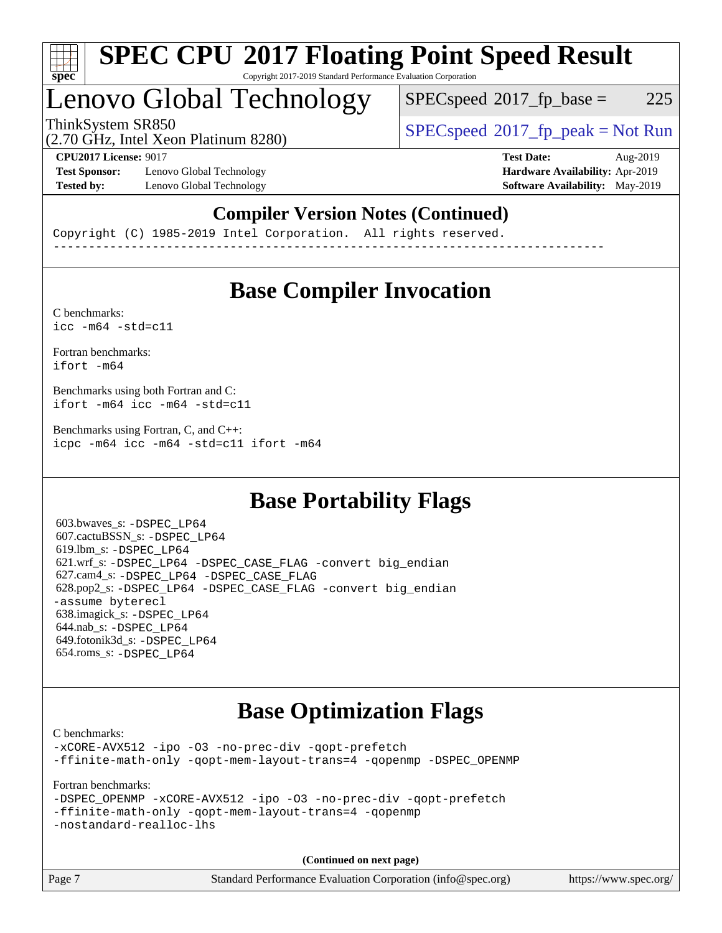

## Lenovo Global Technology

 $SPEC speed^{\circ}2017\_fp\_base = 225$ 

(2.70 GHz, Intel Xeon Platinum 8280)

ThinkSystem SR850<br>  $SPECspeed*2017_fp\_peak = Not Run$  $SPECspeed*2017_fp\_peak = Not Run$ 

**[Test Sponsor:](http://www.spec.org/auto/cpu2017/Docs/result-fields.html#TestSponsor)** Lenovo Global Technology **[Hardware Availability:](http://www.spec.org/auto/cpu2017/Docs/result-fields.html#HardwareAvailability)** Apr-2019 **[Tested by:](http://www.spec.org/auto/cpu2017/Docs/result-fields.html#Testedby)** Lenovo Global Technology **[Software Availability:](http://www.spec.org/auto/cpu2017/Docs/result-fields.html#SoftwareAvailability)** May-2019

**[CPU2017 License:](http://www.spec.org/auto/cpu2017/Docs/result-fields.html#CPU2017License)** 9017 **[Test Date:](http://www.spec.org/auto/cpu2017/Docs/result-fields.html#TestDate)** Aug-2019

### **[Compiler Version Notes \(Continued\)](http://www.spec.org/auto/cpu2017/Docs/result-fields.html#CompilerVersionNotes)**

Copyright (C) 1985-2019 Intel Corporation. All rights reserved. ------------------------------------------------------------------------------

## **[Base Compiler Invocation](http://www.spec.org/auto/cpu2017/Docs/result-fields.html#BaseCompilerInvocation)**

[C benchmarks](http://www.spec.org/auto/cpu2017/Docs/result-fields.html#Cbenchmarks):  $\text{icc}$  -m64 -std=c11

[Fortran benchmarks](http://www.spec.org/auto/cpu2017/Docs/result-fields.html#Fortranbenchmarks): [ifort -m64](http://www.spec.org/cpu2017/results/res2019q3/cpu2017-20190903-17649.flags.html#user_FCbase_intel_ifort_64bit_24f2bb282fbaeffd6157abe4f878425411749daecae9a33200eee2bee2fe76f3b89351d69a8130dd5949958ce389cf37ff59a95e7a40d588e8d3a57e0c3fd751)

[Benchmarks using both Fortran and C](http://www.spec.org/auto/cpu2017/Docs/result-fields.html#BenchmarksusingbothFortranandC): [ifort -m64](http://www.spec.org/cpu2017/results/res2019q3/cpu2017-20190903-17649.flags.html#user_CC_FCbase_intel_ifort_64bit_24f2bb282fbaeffd6157abe4f878425411749daecae9a33200eee2bee2fe76f3b89351d69a8130dd5949958ce389cf37ff59a95e7a40d588e8d3a57e0c3fd751) [icc -m64 -std=c11](http://www.spec.org/cpu2017/results/res2019q3/cpu2017-20190903-17649.flags.html#user_CC_FCbase_intel_icc_64bit_c11_33ee0cdaae7deeeab2a9725423ba97205ce30f63b9926c2519791662299b76a0318f32ddfffdc46587804de3178b4f9328c46fa7c2b0cd779d7a61945c91cd35)

[Benchmarks using Fortran, C, and C++:](http://www.spec.org/auto/cpu2017/Docs/result-fields.html#BenchmarksusingFortranCandCXX) [icpc -m64](http://www.spec.org/cpu2017/results/res2019q3/cpu2017-20190903-17649.flags.html#user_CC_CXX_FCbase_intel_icpc_64bit_4ecb2543ae3f1412ef961e0650ca070fec7b7afdcd6ed48761b84423119d1bf6bdf5cad15b44d48e7256388bc77273b966e5eb805aefd121eb22e9299b2ec9d9) [icc -m64 -std=c11](http://www.spec.org/cpu2017/results/res2019q3/cpu2017-20190903-17649.flags.html#user_CC_CXX_FCbase_intel_icc_64bit_c11_33ee0cdaae7deeeab2a9725423ba97205ce30f63b9926c2519791662299b76a0318f32ddfffdc46587804de3178b4f9328c46fa7c2b0cd779d7a61945c91cd35) [ifort -m64](http://www.spec.org/cpu2017/results/res2019q3/cpu2017-20190903-17649.flags.html#user_CC_CXX_FCbase_intel_ifort_64bit_24f2bb282fbaeffd6157abe4f878425411749daecae9a33200eee2bee2fe76f3b89351d69a8130dd5949958ce389cf37ff59a95e7a40d588e8d3a57e0c3fd751)

## **[Base Portability Flags](http://www.spec.org/auto/cpu2017/Docs/result-fields.html#BasePortabilityFlags)**

 603.bwaves\_s: [-DSPEC\\_LP64](http://www.spec.org/cpu2017/results/res2019q3/cpu2017-20190903-17649.flags.html#suite_basePORTABILITY603_bwaves_s_DSPEC_LP64) 607.cactuBSSN\_s: [-DSPEC\\_LP64](http://www.spec.org/cpu2017/results/res2019q3/cpu2017-20190903-17649.flags.html#suite_basePORTABILITY607_cactuBSSN_s_DSPEC_LP64) 619.lbm\_s: [-DSPEC\\_LP64](http://www.spec.org/cpu2017/results/res2019q3/cpu2017-20190903-17649.flags.html#suite_basePORTABILITY619_lbm_s_DSPEC_LP64) 621.wrf\_s: [-DSPEC\\_LP64](http://www.spec.org/cpu2017/results/res2019q3/cpu2017-20190903-17649.flags.html#suite_basePORTABILITY621_wrf_s_DSPEC_LP64) [-DSPEC\\_CASE\\_FLAG](http://www.spec.org/cpu2017/results/res2019q3/cpu2017-20190903-17649.flags.html#b621.wrf_s_baseCPORTABILITY_DSPEC_CASE_FLAG) [-convert big\\_endian](http://www.spec.org/cpu2017/results/res2019q3/cpu2017-20190903-17649.flags.html#user_baseFPORTABILITY621_wrf_s_convert_big_endian_c3194028bc08c63ac5d04de18c48ce6d347e4e562e8892b8bdbdc0214820426deb8554edfa529a3fb25a586e65a3d812c835984020483e7e73212c4d31a38223) 627.cam4\_s: [-DSPEC\\_LP64](http://www.spec.org/cpu2017/results/res2019q3/cpu2017-20190903-17649.flags.html#suite_basePORTABILITY627_cam4_s_DSPEC_LP64) [-DSPEC\\_CASE\\_FLAG](http://www.spec.org/cpu2017/results/res2019q3/cpu2017-20190903-17649.flags.html#b627.cam4_s_baseCPORTABILITY_DSPEC_CASE_FLAG) 628.pop2\_s: [-DSPEC\\_LP64](http://www.spec.org/cpu2017/results/res2019q3/cpu2017-20190903-17649.flags.html#suite_basePORTABILITY628_pop2_s_DSPEC_LP64) [-DSPEC\\_CASE\\_FLAG](http://www.spec.org/cpu2017/results/res2019q3/cpu2017-20190903-17649.flags.html#b628.pop2_s_baseCPORTABILITY_DSPEC_CASE_FLAG) [-convert big\\_endian](http://www.spec.org/cpu2017/results/res2019q3/cpu2017-20190903-17649.flags.html#user_baseFPORTABILITY628_pop2_s_convert_big_endian_c3194028bc08c63ac5d04de18c48ce6d347e4e562e8892b8bdbdc0214820426deb8554edfa529a3fb25a586e65a3d812c835984020483e7e73212c4d31a38223) [-assume byterecl](http://www.spec.org/cpu2017/results/res2019q3/cpu2017-20190903-17649.flags.html#user_baseFPORTABILITY628_pop2_s_assume_byterecl_7e47d18b9513cf18525430bbf0f2177aa9bf368bc7a059c09b2c06a34b53bd3447c950d3f8d6c70e3faf3a05c8557d66a5798b567902e8849adc142926523472) 638.imagick\_s: [-DSPEC\\_LP64](http://www.spec.org/cpu2017/results/res2019q3/cpu2017-20190903-17649.flags.html#suite_basePORTABILITY638_imagick_s_DSPEC_LP64) 644.nab\_s: [-DSPEC\\_LP64](http://www.spec.org/cpu2017/results/res2019q3/cpu2017-20190903-17649.flags.html#suite_basePORTABILITY644_nab_s_DSPEC_LP64) 649.fotonik3d\_s: [-DSPEC\\_LP64](http://www.spec.org/cpu2017/results/res2019q3/cpu2017-20190903-17649.flags.html#suite_basePORTABILITY649_fotonik3d_s_DSPEC_LP64) 654.roms\_s: [-DSPEC\\_LP64](http://www.spec.org/cpu2017/results/res2019q3/cpu2017-20190903-17649.flags.html#suite_basePORTABILITY654_roms_s_DSPEC_LP64)

# **[Base Optimization Flags](http://www.spec.org/auto/cpu2017/Docs/result-fields.html#BaseOptimizationFlags)**

[C benchmarks](http://www.spec.org/auto/cpu2017/Docs/result-fields.html#Cbenchmarks):

[-xCORE-AVX512](http://www.spec.org/cpu2017/results/res2019q3/cpu2017-20190903-17649.flags.html#user_CCbase_f-xCORE-AVX512) [-ipo](http://www.spec.org/cpu2017/results/res2019q3/cpu2017-20190903-17649.flags.html#user_CCbase_f-ipo) [-O3](http://www.spec.org/cpu2017/results/res2019q3/cpu2017-20190903-17649.flags.html#user_CCbase_f-O3) [-no-prec-div](http://www.spec.org/cpu2017/results/res2019q3/cpu2017-20190903-17649.flags.html#user_CCbase_f-no-prec-div) [-qopt-prefetch](http://www.spec.org/cpu2017/results/res2019q3/cpu2017-20190903-17649.flags.html#user_CCbase_f-qopt-prefetch) [-ffinite-math-only](http://www.spec.org/cpu2017/results/res2019q3/cpu2017-20190903-17649.flags.html#user_CCbase_f_finite_math_only_cb91587bd2077682c4b38af759c288ed7c732db004271a9512da14a4f8007909a5f1427ecbf1a0fb78ff2a814402c6114ac565ca162485bbcae155b5e4258871) [-qopt-mem-layout-trans=4](http://www.spec.org/cpu2017/results/res2019q3/cpu2017-20190903-17649.flags.html#user_CCbase_f-qopt-mem-layout-trans_fa39e755916c150a61361b7846f310bcdf6f04e385ef281cadf3647acec3f0ae266d1a1d22d972a7087a248fd4e6ca390a3634700869573d231a252c784941a8) [-qopenmp](http://www.spec.org/cpu2017/results/res2019q3/cpu2017-20190903-17649.flags.html#user_CCbase_qopenmp_16be0c44f24f464004c6784a7acb94aca937f053568ce72f94b139a11c7c168634a55f6653758ddd83bcf7b8463e8028bb0b48b77bcddc6b78d5d95bb1df2967) [-DSPEC\\_OPENMP](http://www.spec.org/cpu2017/results/res2019q3/cpu2017-20190903-17649.flags.html#suite_CCbase_DSPEC_OPENMP)

[Fortran benchmarks](http://www.spec.org/auto/cpu2017/Docs/result-fields.html#Fortranbenchmarks):

```
-DSPEC_OPENMP -xCORE-AVX512 -ipo -O3 -no-prec-div -qopt-prefetch
-ffinite-math-only -qopt-mem-layout-trans=4 -qopenmp
-nostandard-realloc-lhs
```
**(Continued on next page)**

| Page 7 | Standard Performance Evaluation Corporation (info@spec.org) | https://www.spec.org/ |
|--------|-------------------------------------------------------------|-----------------------|